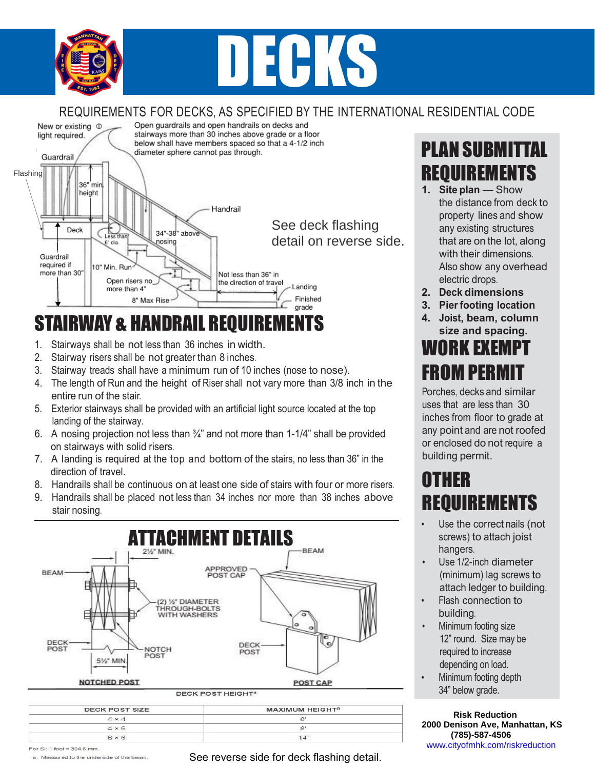

# **DECKS**

#### REQUIREMENTS FOR DECKS, AS SPECIFIED BY THE INTERNATIONAL RESIDENTIAL CODE



## STAIRWAY & HANDRAIL REQUIREMENTS

- 1. Stairways shall be not less than 36 inches in width.
- 2. Stairway risers shall be not greater than 8 inches.
- 3. Stairway treads shall have a minimum run of 10 inches (nose to nose).
- 4. The length of Run and the height of Riser shall not vary more than 3/8 inch in the entire run of the stair.
- 5. Exterior stairways shall be provided with an artificial light source located at the top landing of the stairway.
- 6. A nosing projection not less than ¾" and not more than 1<1/4" shall be provided on stairways with solid risers.
- 7. A landing is required at the top and bottom of the stairs, no less than 36" in the direction of travel.
- 8. Handrails shall be continuous on at least one side of stairs with four or more risers.
- 9. Handrails shall be placed not less than 34 inches nor more than 38 inches above stair nosing.



#### property lines and show any existing structures that are on the lot, along

with their dimensions. Also show any overhead electric drops.

the distance from deck to

PLAN SUBMITTAL

REQUIREMENTS **1.** Site plan — Show

- **2. Deck dimensions**
- **3. Pier footing location**
- **4. Joist, beam, column size and spacing.**

#### WORK EXEMPT **FROM PERMI**

Porches, decks and similar uses that are less than 30 inches from floor to grade at any point and are not roofed or enclosed do not require a building permit.

## OTHER REQUIREMENTS

- Use the correct nails (not screws) to attach joist hangers.
- Use 1/2-inch diameter (minimum) lag screws to attach ledger to building.
- Flash connection to building.
- Minimum footing size 12" round. Size may be required to increase depending on load.
- Minimum footing depth 34" below grade.

#### **Code Services Risk Reduction Phone: (785) 587%2406 2000 Denison Ave, Manhattan, KS**  www.cityofmhk.com/riskreduction  **(785)-587-4506**

a. Measured to the underside of the beam

See reverse side for deck flashing detail.